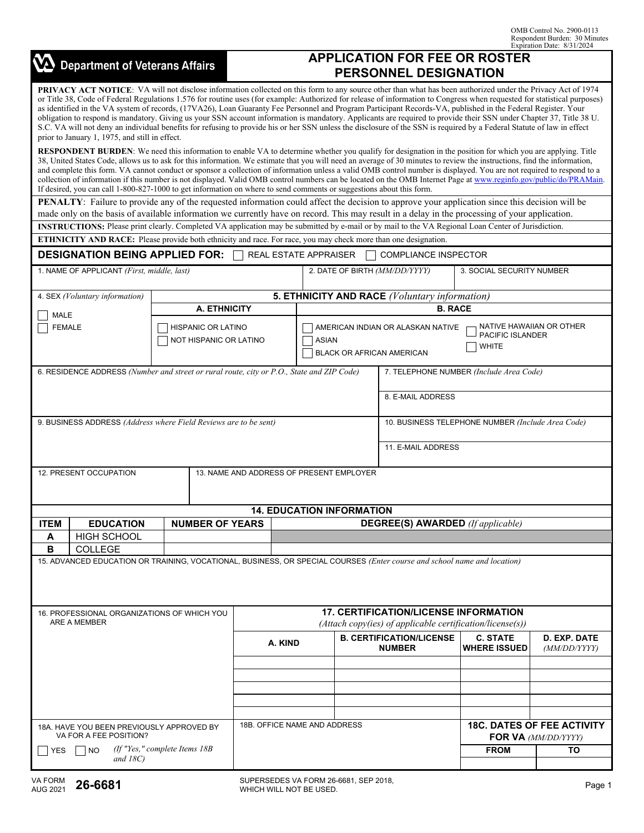**APPLICATION FOR FEE OR ROSTER** 

|                                                                                                                                                                                                                                                                                                                                                                                                                                                        | VA Department of Veterans Affairs                                                                                                                                                                                                                                                                                                                                                                                                                                                                                                                                                                                                                                                                                                                                                                                                                                                                          | <b>APPLICATION FOR FEE OR ROSTER</b><br><b>PERSONNEL DESIGNATION</b> |                                                      |                                                  |  |                                                   |                              |                                                          |  |
|--------------------------------------------------------------------------------------------------------------------------------------------------------------------------------------------------------------------------------------------------------------------------------------------------------------------------------------------------------------------------------------------------------------------------------------------------------|------------------------------------------------------------------------------------------------------------------------------------------------------------------------------------------------------------------------------------------------------------------------------------------------------------------------------------------------------------------------------------------------------------------------------------------------------------------------------------------------------------------------------------------------------------------------------------------------------------------------------------------------------------------------------------------------------------------------------------------------------------------------------------------------------------------------------------------------------------------------------------------------------------|----------------------------------------------------------------------|------------------------------------------------------|--------------------------------------------------|--|---------------------------------------------------|------------------------------|----------------------------------------------------------|--|
|                                                                                                                                                                                                                                                                                                                                                                                                                                                        | PRIVACY ACT NOTICE: VA will not disclose information collected on this form to any source other than what has been authorized under the Privacy Act of 1974<br>or Title 38, Code of Federal Regulations 1.576 for routine uses (for example: Authorized for release of information to Congress when requested for statistical purposes)<br>as identified in the VA system of records, (17VA26), Loan Guaranty Fee Personnel and Program Participant Records-VA, published in the Federal Register. Your<br>obligation to respond is mandatory. Giving us your SSN account information is mandatory. Applicants are required to provide their SSN under Chapter 37, Title 38 U.<br>S.C. VA will not deny an individual benefits for refusing to provide his or her SSN unless the disclosure of the SSN is required by a Federal Statute of law in effect<br>prior to January 1, 1975, and still in effect. |                                                                      |                                                      |                                                  |  |                                                   |                              |                                                          |  |
|                                                                                                                                                                                                                                                                                                                                                                                                                                                        | RESPONDENT BURDEN: We need this information to enable VA to determine whether you qualify for designation in the position for which you are applying. Title<br>38, United States Code, allows us to ask for this information. We estimate that you will need an average of 30 minutes to review the instructions, find the information,<br>and complete this form. VA cannot conduct or sponsor a collection of information unless a valid OMB control number is displayed. You are not required to respond to a<br>collection of information if this number is not displayed. Valid OMB control numbers can be located on the OMB Internet Page at www.reginfo.gov/public/do/PRAMain.<br>If desired, you can call 1-800-827-1000 to get information on where to send comments or suggestions about this form.                                                                                             |                                                                      |                                                      |                                                  |  |                                                   |                              |                                                          |  |
| PENALTY: Failure to provide any of the requested information could affect the decision to approve your application since this decision will be<br>made only on the basis of available information we currently have on record. This may result in a delay in the processing of your application.<br>INSTRUCTIONS: Please print clearly. Completed VA application may be submitted by e-mail or by mail to the VA Regional Loan Center of Jurisdiction. |                                                                                                                                                                                                                                                                                                                                                                                                                                                                                                                                                                                                                                                                                                                                                                                                                                                                                                            |                                                                      |                                                      |                                                  |  |                                                   |                              |                                                          |  |
|                                                                                                                                                                                                                                                                                                                                                                                                                                                        |                                                                                                                                                                                                                                                                                                                                                                                                                                                                                                                                                                                                                                                                                                                                                                                                                                                                                                            |                                                                      |                                                      |                                                  |  |                                                   |                              |                                                          |  |
|                                                                                                                                                                                                                                                                                                                                                                                                                                                        | ETHNICITY AND RACE: Please provide both ethnicity and race. For race, you may check more than one designation.<br><b>DESIGNATION BEING APPLIED FOR:</b>                                                                                                                                                                                                                                                                                                                                                                                                                                                                                                                                                                                                                                                                                                                                                    |                                                                      | REAL ESTATE APPRAISER                                |                                                  |  | <b>COMPLIANCE INSPECTOR</b>                       |                              |                                                          |  |
|                                                                                                                                                                                                                                                                                                                                                                                                                                                        | 1. NAME OF APPLICANT (First, middle, last)                                                                                                                                                                                                                                                                                                                                                                                                                                                                                                                                                                                                                                                                                                                                                                                                                                                                 |                                                                      |                                                      |                                                  |  | 2. DATE OF BIRTH (MM/DD/YYYY)                     | 3. SOCIAL SECURITY NUMBER    |                                                          |  |
|                                                                                                                                                                                                                                                                                                                                                                                                                                                        | 4. SEX (Voluntary information)                                                                                                                                                                                                                                                                                                                                                                                                                                                                                                                                                                                                                                                                                                                                                                                                                                                                             |                                                                      | <b>5. ETHNICITY AND RACE</b> (Voluntary information) |                                                  |  |                                                   |                              |                                                          |  |
|                                                                                                                                                                                                                                                                                                                                                                                                                                                        |                                                                                                                                                                                                                                                                                                                                                                                                                                                                                                                                                                                                                                                                                                                                                                                                                                                                                                            | A. ETHNICITY                                                         |                                                      |                                                  |  | <b>B. RACE</b>                                    |                              |                                                          |  |
|                                                                                                                                                                                                                                                                                                                                                                                                                                                        | <b>MALE</b><br>NATIVE HAWAIIAN OR OTHER<br><b>HISPANIC OR LATINO</b><br><b>FEMALE</b><br>AMERICAN INDIAN OR ALASKAN NATIVE<br>PACIFIC ISLANDER<br>NOT HISPANIC OR LATINO<br>ASIAN<br><b>WHITE</b><br>BLACK OR AFRICAN AMERICAN                                                                                                                                                                                                                                                                                                                                                                                                                                                                                                                                                                                                                                                                             |                                                                      |                                                      |                                                  |  |                                                   |                              |                                                          |  |
|                                                                                                                                                                                                                                                                                                                                                                                                                                                        | 6. RESIDENCE ADDRESS (Number and street or rural route, city or P.O., State and ZIP Code)                                                                                                                                                                                                                                                                                                                                                                                                                                                                                                                                                                                                                                                                                                                                                                                                                  |                                                                      |                                                      |                                                  |  | 7. TELEPHONE NUMBER (Include Area Code)           |                              |                                                          |  |
|                                                                                                                                                                                                                                                                                                                                                                                                                                                        |                                                                                                                                                                                                                                                                                                                                                                                                                                                                                                                                                                                                                                                                                                                                                                                                                                                                                                            |                                                                      |                                                      |                                                  |  | 8. E-MAIL ADDRESS                                 |                              |                                                          |  |
|                                                                                                                                                                                                                                                                                                                                                                                                                                                        | 9. BUSINESS ADDRESS (Address where Field Reviews are to be sent)                                                                                                                                                                                                                                                                                                                                                                                                                                                                                                                                                                                                                                                                                                                                                                                                                                           |                                                                      |                                                      |                                                  |  | 10. BUSINESS TELEPHONE NUMBER (Include Area Code) |                              |                                                          |  |
|                                                                                                                                                                                                                                                                                                                                                                                                                                                        | 11. E-MAIL ADDRESS                                                                                                                                                                                                                                                                                                                                                                                                                                                                                                                                                                                                                                                                                                                                                                                                                                                                                         |                                                                      |                                                      |                                                  |  |                                                   |                              |                                                          |  |
|                                                                                                                                                                                                                                                                                                                                                                                                                                                        | 12. PRESENT OCCUPATION<br>13. NAME AND ADDRESS OF PRESENT EMPLOYER                                                                                                                                                                                                                                                                                                                                                                                                                                                                                                                                                                                                                                                                                                                                                                                                                                         |                                                                      |                                                      |                                                  |  |                                                   |                              |                                                          |  |
|                                                                                                                                                                                                                                                                                                                                                                                                                                                        |                                                                                                                                                                                                                                                                                                                                                                                                                                                                                                                                                                                                                                                                                                                                                                                                                                                                                                            |                                                                      | <b>14. EDUCATION INFORMATION</b>                     |                                                  |  |                                                   |                              |                                                          |  |
| <b>ITEM</b>                                                                                                                                                                                                                                                                                                                                                                                                                                            | <b>EDUCATION</b>                                                                                                                                                                                                                                                                                                                                                                                                                                                                                                                                                                                                                                                                                                                                                                                                                                                                                           | <b>NUMBER OF YEARS</b>                                               |                                                      |                                                  |  | <b>DEGREE(S) AWARDED</b> (If applicable)          |                              |                                                          |  |
| A                                                                                                                                                                                                                                                                                                                                                                                                                                                      | <b>HIGH SCHOOL</b>                                                                                                                                                                                                                                                                                                                                                                                                                                                                                                                                                                                                                                                                                                                                                                                                                                                                                         |                                                                      |                                                      |                                                  |  |                                                   |                              |                                                          |  |
| в                                                                                                                                                                                                                                                                                                                                                                                                                                                      | <b>COLLEGE</b><br>15. ADVANCED EDUCATION OR TRAINING, VOCATIONAL, BUSINESS, OR SPECIAL COURSES (Enter course and school name and location)                                                                                                                                                                                                                                                                                                                                                                                                                                                                                                                                                                                                                                                                                                                                                                 |                                                                      |                                                      |                                                  |  |                                                   |                              |                                                          |  |
|                                                                                                                                                                                                                                                                                                                                                                                                                                                        | <b>17. CERTIFICATION/LICENSE INFORMATION</b><br>16. PROFESSIONAL ORGANIZATIONS OF WHICH YOU<br>ARE A MEMBER<br>(Attach copy(ies) of applicable certification/license(s))                                                                                                                                                                                                                                                                                                                                                                                                                                                                                                                                                                                                                                                                                                                                   |                                                                      |                                                      |                                                  |  |                                                   |                              |                                                          |  |
|                                                                                                                                                                                                                                                                                                                                                                                                                                                        |                                                                                                                                                                                                                                                                                                                                                                                                                                                                                                                                                                                                                                                                                                                                                                                                                                                                                                            | A. KIND                                                              |                                                      | <b>B. CERTIFICATION/LICENSE</b><br><b>NUMBER</b> |  | <b>C. STATE</b><br><b>WHERE ISSUED</b>            | D. EXP. DATE<br>(MM/DD/YYYY) |                                                          |  |
|                                                                                                                                                                                                                                                                                                                                                                                                                                                        |                                                                                                                                                                                                                                                                                                                                                                                                                                                                                                                                                                                                                                                                                                                                                                                                                                                                                                            |                                                                      |                                                      |                                                  |  |                                                   |                              |                                                          |  |
|                                                                                                                                                                                                                                                                                                                                                                                                                                                        |                                                                                                                                                                                                                                                                                                                                                                                                                                                                                                                                                                                                                                                                                                                                                                                                                                                                                                            |                                                                      |                                                      |                                                  |  |                                                   |                              |                                                          |  |
|                                                                                                                                                                                                                                                                                                                                                                                                                                                        |                                                                                                                                                                                                                                                                                                                                                                                                                                                                                                                                                                                                                                                                                                                                                                                                                                                                                                            |                                                                      |                                                      |                                                  |  |                                                   |                              |                                                          |  |
| 18A. HAVE YOU BEEN PREVIOUSLY APPROVED BY<br>VA FOR A FEE POSITION?                                                                                                                                                                                                                                                                                                                                                                                    |                                                                                                                                                                                                                                                                                                                                                                                                                                                                                                                                                                                                                                                                                                                                                                                                                                                                                                            |                                                                      | 18B. OFFICE NAME AND ADDRESS                         |                                                  |  |                                                   |                              | <b>18C. DATES OF FEE ACTIVITY</b><br>FOR VA (MM/DD/YYYY) |  |
| <b>YES</b>                                                                                                                                                                                                                                                                                                                                                                                                                                             | (If "Yes," complete Items 18B<br><b>NO</b><br>and $18C$ )                                                                                                                                                                                                                                                                                                                                                                                                                                                                                                                                                                                                                                                                                                                                                                                                                                                  |                                                                      |                                                      |                                                  |  | <b>FROM</b>                                       | то                           |                                                          |  |
|                                                                                                                                                                                                                                                                                                                                                                                                                                                        |                                                                                                                                                                                                                                                                                                                                                                                                                                                                                                                                                                                                                                                                                                                                                                                                                                                                                                            |                                                                      |                                                      |                                                  |  |                                                   |                              |                                                          |  |